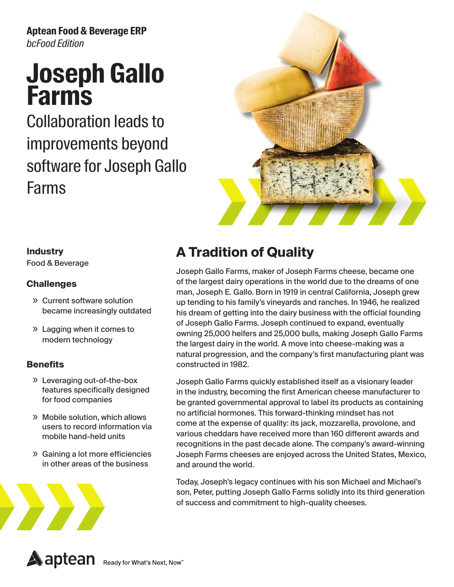**Aptean Food & Beverage ERP**  *bcFood Edition*

# **Joseph Gallo Farms**

Collaboration leads to improvements beyond software for Joseph Gallo Farms



#### **Industry**

Food & Beverage

#### **Challenges**

- » Current software solution became increasingly outdated
- » Lagging when it comes to modern technology

#### **Benefits**

- » Leveraging out-of-the-box features specifically designed for food companies
- » Mobile solution, which allows users to record information via mobile hand-held units
- » Gaining a lot more efficiencies in other areas of the business



## **A Tradition of Quality**

Joseph Gallo Farms, maker of Joseph Farms cheese, became one of the largest dairy operations in the world due to the dreams of one man, Joseph E. Gallo. Born in 1919 in central California, Joseph grew up tending to his family's vineyards and ranches. In 1946, he realized his dream of getting into the dairy business with the official founding of Joseph Gallo Farms. Joseph continued to expand, eventually owning 25,000 heifers and 25,000 bulls, making Joseph Gallo Farms the largest dairy in the world. A move into cheese-making was a natural progression, and the company's first manufacturing plant was constructed in 1982.

Joseph Gallo Farms quickly established itself as a visionary leader in the industry, becoming the first American cheese manufacturer to be granted governmental approval to label its products as containing no artificial hormones. This forward-thinking mindset has not come at the expense of quality: its jack, mozzarella, provolone, and various cheddars have received more than 160 different awards and recognitions in the past decade alone. The company's award-winning Joseph Farms cheeses are enjoyed across the United States, Mexico, and around the world.

Today, Joseph's legacy continues with his son Michael and Michael's son, Peter, putting Joseph Gallo Farms solidly into its third generation of success and commitment to high-quality cheeses.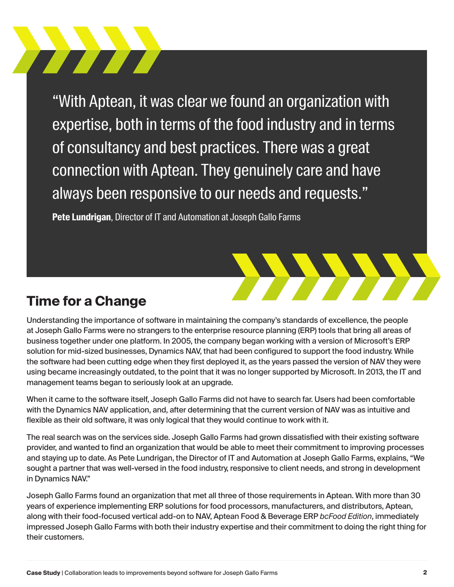"With Aptean, it was clear we found an organization with expertise, both in terms of the food industry and in terms of consultancy and best practices. There was a great connection with Aptean. They genuinely care and have always been responsive to our needs and requests."

**Pete Lundrigan**, Director of IT and Automation at Joseph Gallo Farms



#### **Time for a Change**

**The Communication** 

Understanding the importance of software in maintaining the company's standards of excellence, the people at Joseph Gallo Farms were no strangers to the enterprise resource planning (ERP) tools that bring all areas of business together under one platform. In 2005, the company began working with a version of Microsoft's ERP solution for mid-sized businesses, Dynamics NAV, that had been configured to support the food industry. While the software had been cutting edge when they first deployed it, as the years passed the version of NAV they were using became increasingly outdated, to the point that it was no longer supported by Microsoft. In 2013, the IT and management teams began to seriously look at an upgrade.

When it came to the software itself, Joseph Gallo Farms did not have to search far. Users had been comfortable with the Dynamics NAV application, and, after determining that the current version of NAV was as intuitive and flexible as their old software, it was only logical that they would continue to work with it.

The real search was on the services side. Joseph Gallo Farms had grown dissatisfied with their existing software provider, and wanted to find an organization that would be able to meet their commitment to improving processes and staying up to date. As Pete Lundrigan, the Director of IT and Automation at Joseph Gallo Farms, explains, "We sought a partner that was well-versed in the food industry, responsive to client needs, and strong in development in Dynamics NAV."

Joseph Gallo Farms found an organization that met all three of those requirements in Aptean. With more than 30 years of experience implementing ERP solutions for food processors, manufacturers, and distributors, Aptean, along with their food-focused vertical add-on to NAV, Aptean Food & Beverage ERP *bcFood Edition*, immediately impressed Joseph Gallo Farms with both their industry expertise and their commitment to doing the right thing for their customers.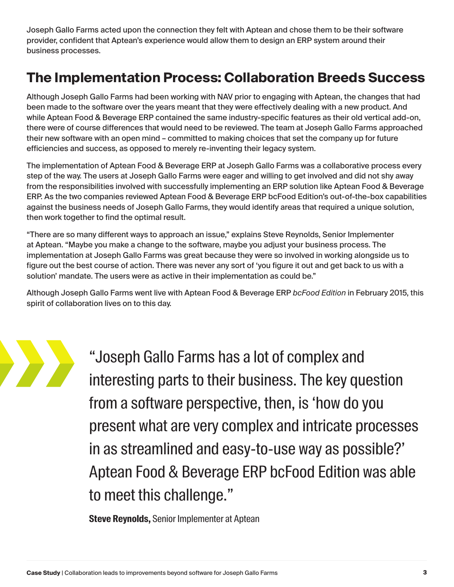Joseph Gallo Farms acted upon the connection they felt with Aptean and chose them to be their software provider, confident that Aptean's experience would allow them to design an ERP system around their business processes.

### **The Implementation Process: Collaboration Breeds Success**

Although Joseph Gallo Farms had been working with NAV prior to engaging with Aptean, the changes that had been made to the software over the years meant that they were effectively dealing with a new product. And while Aptean Food & Beverage ERP contained the same industry-specific features as their old vertical add-on, there were of course differences that would need to be reviewed. The team at Joseph Gallo Farms approached their new software with an open mind – committed to making choices that set the company up for future efficiencies and success, as opposed to merely re-inventing their legacy system.

The implementation of Aptean Food & Beverage ERP at Joseph Gallo Farms was a collaborative process every step of the way. The users at Joseph Gallo Farms were eager and willing to get involved and did not shy away from the responsibilities involved with successfully implementing an ERP solution like Aptean Food & Beverage ERP. As the two companies reviewed Aptean Food & Beverage ERP bcFood Edition's out-of-the-box capabilities against the business needs of Joseph Gallo Farms, they would identify areas that required a unique solution, then work together to find the optimal result.

"There are so many different ways to approach an issue," explains Steve Reynolds, Senior Implementer at Aptean. "Maybe you make a change to the software, maybe you adjust your business process. The implementation at Joseph Gallo Farms was great because they were so involved in working alongside us to figure out the best course of action. There was never any sort of 'you figure it out and get back to us with a solution' mandate. The users were as active in their implementation as could be."

Although Joseph Gallo Farms went live with Aptean Food & Beverage ERP *bcFood Edition* in February 2015, this spirit of collaboration lives on to this day.



"Joseph Gallo Farms has a lot of complex and interesting parts to their business. The key question from a software perspective, then, is 'how do you present what are very complex and intricate processes in as streamlined and easy-to-use way as possible?' Aptean Food & Beverage ERP bcFood Edition was able to meet this challenge."

**Steve Reynolds,** Senior Implementer at Aptean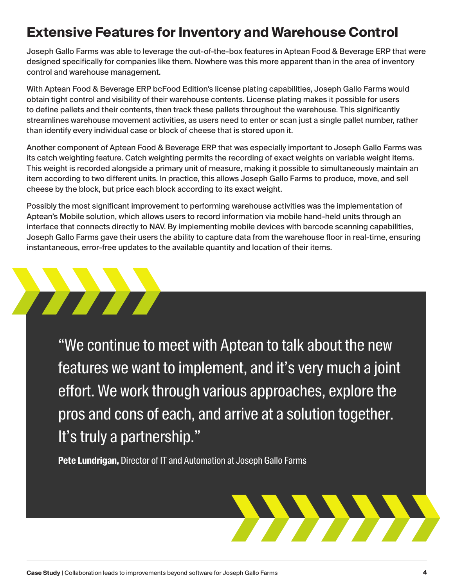### **Extensive Features for Inventory and Warehouse Control**

Joseph Gallo Farms was able to leverage the out-of-the-box features in Aptean Food & Beverage ERP that were designed specifically for companies like them. Nowhere was this more apparent than in the area of inventory control and warehouse management.

With Aptean Food & Beverage ERP bcFood Edition's license plating capabilities, Joseph Gallo Farms would obtain tight control and visibility of their warehouse contents. License plating makes it possible for users to define pallets and their contents, then track these pallets throughout the warehouse. This significantly streamlines warehouse movement activities, as users need to enter or scan just a single pallet number, rather than identify every individual case or block of cheese that is stored upon it.

Another component of Aptean Food & Beverage ERP that was especially important to Joseph Gallo Farms was its catch weighting feature. Catch weighting permits the recording of exact weights on variable weight items. This weight is recorded alongside a primary unit of measure, making it possible to simultaneously maintain an item according to two different units. In practice, this allows Joseph Gallo Farms to produce, move, and sell cheese by the block, but price each block according to its exact weight.

Possibly the most significant improvement to performing warehouse activities was the implementation of Aptean's Mobile solution, which allows users to record information via mobile hand-held units through an interface that connects directly to NAV. By implementing mobile devices with barcode scanning capabilities, Joseph Gallo Farms gave their users the ability to capture data from the warehouse floor in real-time, ensuring instantaneous, error-free updates to the available quantity and location of their items.

"We continue to meet with Aptean to talk about the new features we want to implement, and it's very much a joint effort. We work through various approaches, explore the pros and cons of each, and arrive at a solution together. It's truly a partnership."

**Pete Lundrigan,** Director of IT and Automation at Joseph Gallo Farms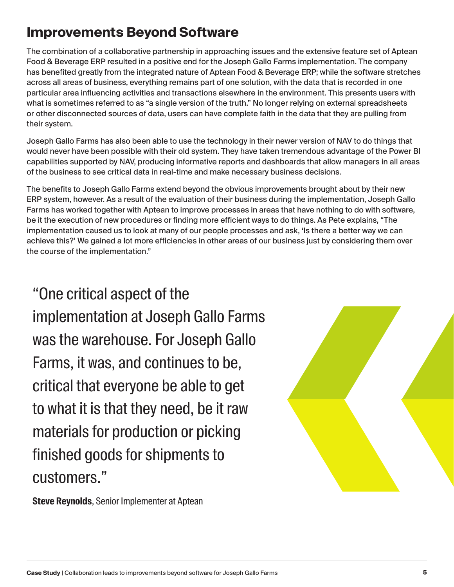### **Improvements Beyond Software**

The combination of a collaborative partnership in approaching issues and the extensive feature set of Aptean Food & Beverage ERP resulted in a positive end for the Joseph Gallo Farms implementation. The company has benefited greatly from the integrated nature of Aptean Food & Beverage ERP; while the software stretches across all areas of business, everything remains part of one solution, with the data that is recorded in one particular area influencing activities and transactions elsewhere in the environment. This presents users with what is sometimes referred to as "a single version of the truth." No longer relying on external spreadsheets or other disconnected sources of data, users can have complete faith in the data that they are pulling from their system.

Joseph Gallo Farms has also been able to use the technology in their newer version of NAV to do things that would never have been possible with their old system. They have taken tremendous advantage of the Power BI capabilities supported by NAV, producing informative reports and dashboards that allow managers in all areas of the business to see critical data in real-time and make necessary business decisions.

The benefits to Joseph Gallo Farms extend beyond the obvious improvements brought about by their new ERP system, however. As a result of the evaluation of their business during the implementation, Joseph Gallo Farms has worked together with Aptean to improve processes in areas that have nothing to do with software, be it the execution of new procedures or finding more efficient ways to do things. As Pete explains, "The implementation caused us to look at many of our people processes and ask, 'Is there a better way we can achieve this?' We gained a lot more efficiencies in other areas of our business just by considering them over the course of the implementation."

"One critical aspect of the implementation at Joseph Gallo Farms was the warehouse. For Joseph Gallo Farms, it was, and continues to be, critical that everyone be able to get to what it is that they need, be it raw materials for production or picking finished goods for shipments to customers."

**Steve Reynolds**, Senior Implementer at Aptean

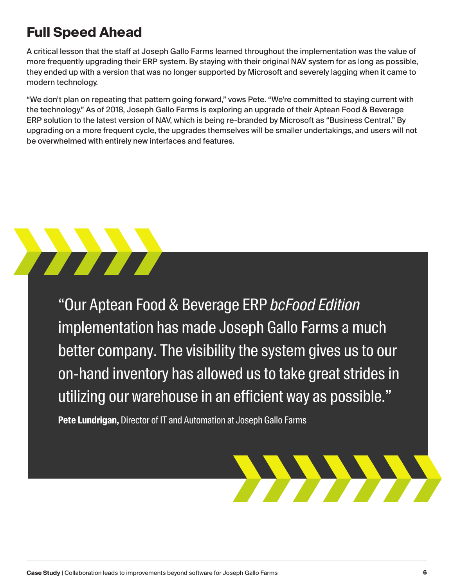## **Full Speed Ahead**

A critical lesson that the staff at Joseph Gallo Farms learned throughout the implementation was the value of more frequently upgrading their ERP system. By staying with their original NAV system for as long as possible, they ended up with a version that was no longer supported by Microsoft and severely lagging when it came to modern technology.

"We don't plan on repeating that pattern going forward," vows Pete. "We're committed to staying current with the technology." As of 2018, Joseph Gallo Farms is exploring an upgrade of their Aptean Food & Beverage ERP solution to the latest version of NAV, which is being re-branded by Microsoft as "Business Central." By upgrading on a more frequent cycle, the upgrades themselves will be smaller undertakings, and users will not be overwhelmed with entirely new interfaces and features.



"Our Aptean Food & Beverage ERP *bcFood Edition* implementation has made Joseph Gallo Farms a much better company. The visibility the system gives us to our on-hand inventory has allowed us to take great strides in utilizing our warehouse in an efficient way as possible."

**Pete Lundrigan,** Director of IT and Automation at Joseph Gallo Farms